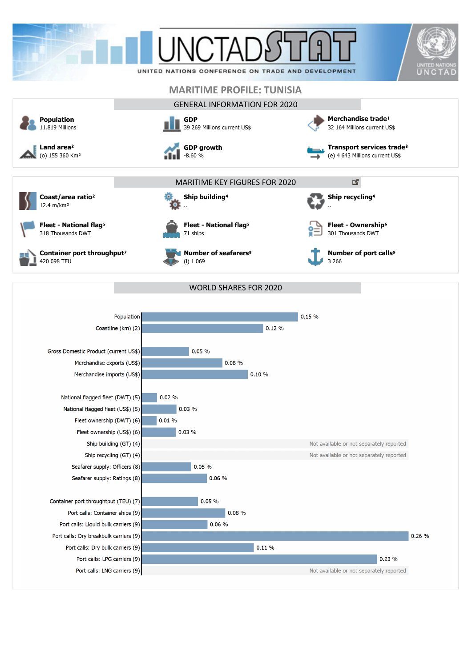



**Coast/area ratio**²



**Fleet - National flag<sup>5</sup>** 318 Thousands DWT





..

71 ships

**Ship building**⁴

**Number of seafarers**⁸ (l) 1 069



301 Thousands DWT

**Number of port calls<sup>9</sup>** 3 266

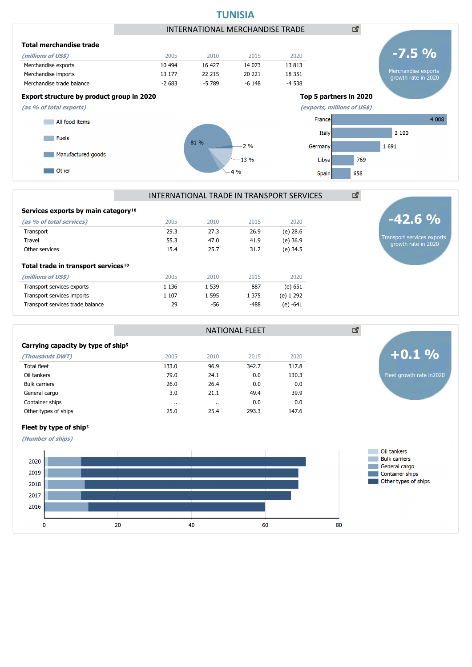

| Transport                                       | 29.3                  | 27.3    | 26.9    | (e) 28.6   |
|-------------------------------------------------|-----------------------|---------|---------|------------|
| Travel                                          | 55.3                  | 47.0    | 41.9    | $(e)$ 36.9 |
| Other services                                  | 15.4                  | 25.7    | 31.2    | (e) 34.5   |
| Total trade in transport services <sup>10</sup> |                       |         |         |            |
| (millions of US\$)                              | 2005                  | 2010    | 2015    | 2020       |
| Transport services exports                      | 1 1 3 6               | 1 5 3 9 | 887     | (e) 651    |
| Transport services imports                      | 1 1 0 7               | 1 5 9 5 | 1 3 7 5 | (e) 1 292  |
| Transport services trade balance                | 29                    | -56     | $-488$  | $(e) -641$ |
|                                                 |                       |         |         |            |
|                                                 | <b>NATIONAL FLEET</b> |         |         |            |
| .<br>.                                          |                       |         |         |            |

**(as % of total services)** 2005 2010 2015 2020

#### Carrying capacity by type of ship<sup>5</sup>

| (Thousands DWT)      | 2005                 | 2010      | 2015  | 2020  |
|----------------------|----------------------|-----------|-------|-------|
| <b>Total fleet</b>   | 133.0                | 96.9      | 342.7 | 317.8 |
| Oil tankers          | 79.0                 | 24.1      | 0.0   | 130.3 |
| <b>Bulk carriers</b> | 26.0                 | 26.4      | 0.0   | 0.0   |
| General cargo        | 3.0                  | 21.1      | 49.4  | 39.9  |
| Container ships      | $\ddot{\phantom{a}}$ | $\cdot$ . | 0.0   | 0.0   |
| Other types of ships | 25.0                 | 25.4      | 293.3 | 147.6 |
|                      |                      |           |       |       |

Fleet growth rate in2020 **+0.1 %**

図

Transport services exports growth rate in 2020

#### Fleet by type of ship<sup>5</sup>

**(Number of ships)**



# **TUNISIA**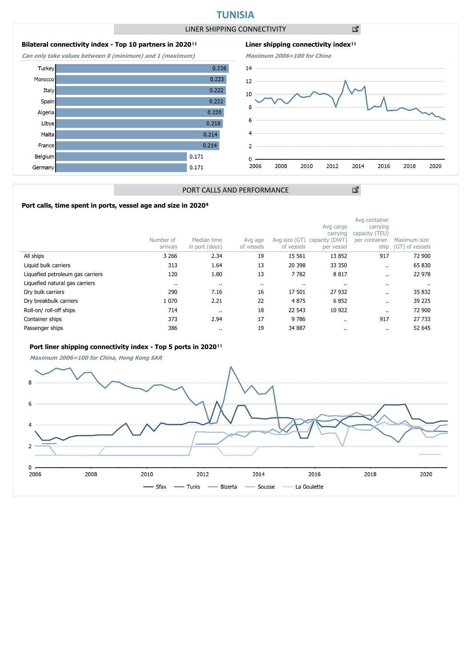# **TUNISIA**

LINER SHIPPING CONNECTIVITY

凶

# **Bilateral connectivity index - Top 10 partners in 2020**<sup>11</sup>

**Can only take values between 0 (minimum) and 1 (maximum)**





図

## PORT CALLS AND PERFORMANCE

### Port calls, time spent in ports, vessel age and size in 2020<sup>9</sup>

|                                  | Number of<br>arrivals | Median time<br>in port (days) | Avg age<br>of vessels | Avg size (GT)<br>of vessels | Avg cargo<br>carrying<br>capacity (DWT)<br>per vessel | Avg container<br>carrying<br>capacity (TEU)<br>per container<br>ship | Maximum size<br>(GT) of vessels |
|----------------------------------|-----------------------|-------------------------------|-----------------------|-----------------------------|-------------------------------------------------------|----------------------------------------------------------------------|---------------------------------|
| All ships                        | 3 2 6 6               | 2.34                          | 19                    | 15 5 61                     | 13 8 52                                               | 917                                                                  | 72 900                          |
| Liquid bulk carriers             | 313                   | 1.64                          | 13                    | 20 398                      | 33 350                                                | $\ddot{\phantom{0}}$                                                 | 65 830                          |
| Liquefied petroleum gas carriers | 120                   | 1.80                          | 13                    | 7782                        | 8817                                                  |                                                                      | 22 978                          |
| Liquefied natural gas carriers   | $\cdots$              |                               | $\cdot$ .             | $\cdots$                    |                                                       |                                                                      |                                 |
| Dry bulk carriers                | 290                   | 7.16                          | 16                    | 17 501                      | 27 932                                                |                                                                      | 35 832                          |
| Dry breakbulk carriers           | 1 0 7 0               | 2.21                          | 22                    | 4875                        | 6852                                                  | $\ddot{\phantom{a}}$                                                 | 39 2 25                         |
| Roll-on/roll-off ships           | 714                   | $\ddot{\phantom{0}}$          | 18                    | 22 543                      | 10 922                                                | $\cdot$ .                                                            | 72 900                          |
| Container ships                  | 373                   | 2.94                          | 17                    | 9786                        |                                                       | 917                                                                  | 27 733                          |
| Passenger ships                  | 386                   | $\cdots$                      | 19                    | 34 887                      | $\cdots$                                              |                                                                      | 52 645                          |

## Port liner shipping connectivity index - Top 5 ports in 2020<sup>11</sup>